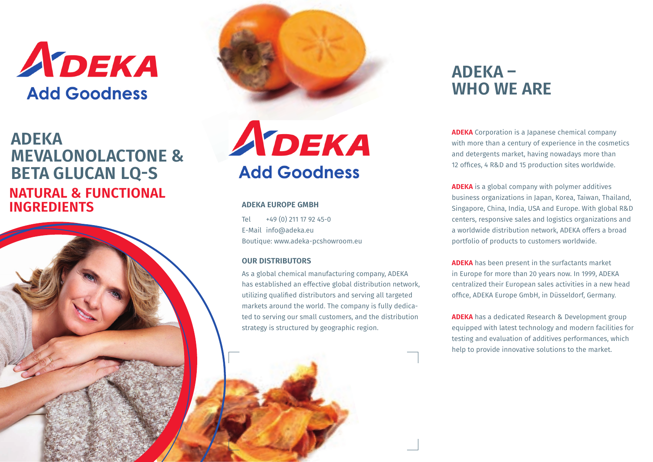

## **ADEKA MEVALONOLACTONE & BETA GLUCAN LQ-S NATURAL & FUNCTIONAL INGREDIENTS**





### **ADEKA EUROPE GMBH**

Tel +49 (0) 211 17 92 45-0 E-Mail info@adeka.eu Boutique: www.adeka-pcshowroom.eu

#### **OUR DISTRIBUTORS**

As a global chemical manufacturing company, ADEKA has established an effective global distribution network, utilizing qualified distributors and serving all targeted markets around the world. The company is fully dedicated to serving our small customers, and the distribution strategy is structured by geographic region.

# **ADEKA – WHO WE ARE**

**ADEKA** Corporation is a Japanese chemical company with more than a century of experience in the cosmetics and detergents market, having nowadays more than 12 offices, 4 R&D and 15 production sites worldwide.

**ADEKA** is a global company with polymer additives business organizations in Japan, Korea, Taiwan, Thailand, Singapore, China, India, USA and Europe. With global R&D centers, responsive sales and logistics organizations and a worldwide distribution network, ADEKA offers a broad portfolio of products to customers worldwide.

**ADEKA** has been present in the surfactants market in Europe for more than 20 years now. In 1999, ADEKA centralized their European sales activities in a new head office, ADEKA Europe GmbH, in Düsseldorf, Germany.

**ADEKA** has a dedicated Research & Development group equipped with latest technology and modern facilities for testing and evaluation of additives performances, which help to provide innovative solutions to the market.